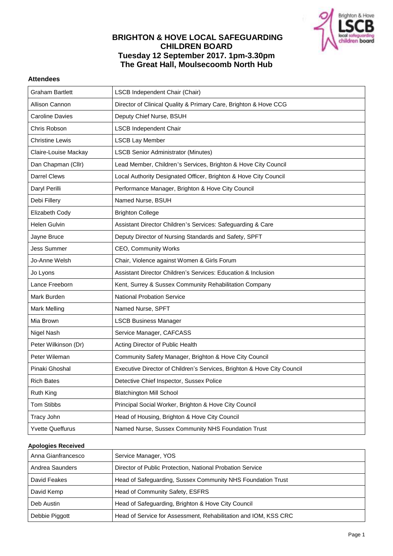

# **BRIGHTON & HOVE LOCAL SAFEGUARDING CHILDREN BOARD Tuesday 12 September 2017. 1pm-3.30pm The Great Hall, Moulsecoomb North Hub**

### **Attendees**

| <b>Graham Bartlett</b>  | LSCB Independent Chair (Chair)                                          |
|-------------------------|-------------------------------------------------------------------------|
| Allison Cannon          | Director of Clinical Quality & Primary Care, Brighton & Hove CCG        |
| <b>Caroline Davies</b>  | Deputy Chief Nurse, BSUH                                                |
| Chris Robson            | <b>LSCB Independent Chair</b>                                           |
| <b>Christine Lewis</b>  | <b>LSCB Lay Member</b>                                                  |
| Claire-Louise Mackay    | <b>LSCB Senior Administrator (Minutes)</b>                              |
| Dan Chapman (Cllr)      | Lead Member, Children's Services, Brighton & Hove City Council          |
| <b>Darrel Clews</b>     | Local Authority Designated Officer, Brighton & Hove City Council        |
| Daryl Perilli           | Performance Manager, Brighton & Hove City Council                       |
| Debi Fillery            | Named Nurse, BSUH                                                       |
| Elizabeth Cody          | <b>Brighton College</b>                                                 |
| Helen Gulvin            | Assistant Director Children's Services: Safeguarding & Care             |
| Jayne Bruce             | Deputy Director of Nursing Standards and Safety, SPFT                   |
| <b>Jess Summer</b>      | CEO, Community Works                                                    |
| Jo-Anne Welsh           | Chair, Violence against Women & Girls Forum                             |
| Jo Lyons                | Assistant Director Children's Services: Education & Inclusion           |
| Lance Freeborn          | Kent, Surrey & Sussex Community Rehabilitation Company                  |
| Mark Burden             | <b>National Probation Service</b>                                       |
| Mark Melling            | Named Nurse, SPFT                                                       |
| Mia Brown               | <b>LSCB Business Manager</b>                                            |
| Nigel Nash              | Service Manager, CAFCASS                                                |
| Peter Wilkinson (Dr)    | Acting Director of Public Health                                        |
| Peter Wileman           | Community Safety Manager, Brighton & Hove City Council                  |
| Pinaki Ghoshal          | Executive Director of Children's Services, Brighton & Hove City Council |
| <b>Rich Bates</b>       | Detective Chief Inspector, Sussex Police                                |
| Ruth King               | <b>Blatchington Mill School</b>                                         |
| <b>Tom Stibbs</b>       | Principal Social Worker, Brighton & Hove City Council                   |
| Tracy John              | Head of Housing, Brighton & Hove City Council                           |
| <b>Yvette Queffurus</b> | Named Nurse, Sussex Community NHS Foundation Trust                      |

#### **Apologies Received**

| Anna Gianfrancesco | Service Manager, YOS                                            |
|--------------------|-----------------------------------------------------------------|
| Andrea Saunders    | Director of Public Protection, National Probation Service       |
| David Feakes       | Head of Safeguarding, Sussex Community NHS Foundation Trust     |
| David Kemp         | Head of Community Safety, ESFRS                                 |
| Deb Austin         | Head of Safeguarding, Brighton & Hove City Council              |
| Debbie Piggott     | Head of Service for Assessment, Rehabilitation and IOM, KSS CRC |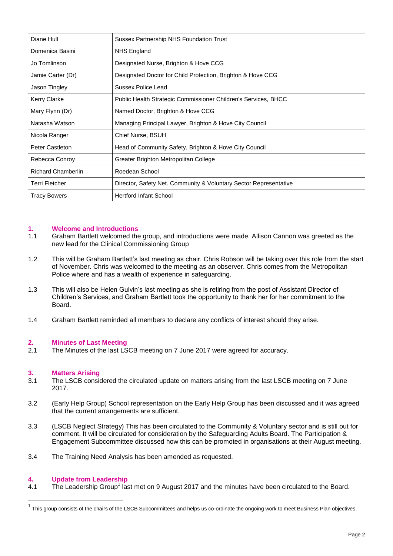| Diane Hull          | <b>Sussex Partnership NHS Foundation Trust</b>                    |
|---------------------|-------------------------------------------------------------------|
| Domenica Basini     | NHS England                                                       |
| Jo Tomlinson        | Designated Nurse, Brighton & Hove CCG                             |
| Jamie Carter (Dr)   | Designated Doctor for Child Protection, Brighton & Hove CCG       |
| Jason Tingley       | Sussex Police Lead                                                |
| Kerry Clarke        | Public Health Strategic Commissioner Children's Services, BHCC    |
| Mary Flynn (Dr)     | Named Doctor, Brighton & Hove CCG                                 |
| Natasha Watson      | Managing Principal Lawyer, Brighton & Hove City Council           |
| Nicola Ranger       | Chief Nurse, BSUH                                                 |
| Peter Castleton     | Head of Community Safety, Brighton & Hove City Council            |
| Rebecca Conroy      | Greater Brighton Metropolitan College                             |
| Richard Chamberlin  | Roedean School                                                    |
| Terri Fletcher      | Director, Safety Net. Community & Voluntary Sector Representative |
| <b>Tracy Bowers</b> | <b>Hertford Infant School</b>                                     |

# **1. Welcome and Introductions**

- Graham Bartlett welcomed the group, and introductions were made. Allison Cannon was greeted as the new lead for the Clinical Commissioning Group
- 1.2 This will be Graham Bartlett's last meeting as chair. Chris Robson will be taking over this role from the start of November. Chris was welcomed to the meeting as an observer. Chris comes from the Metropolitan Police where and has a wealth of experience in safeguarding.
- 1.3 This will also be Helen Gulvin's last meeting as she is retiring from the post of Assistant Director of Children's Services, and Graham Bartlett took the opportunity to thank her for her commitment to the Board.
- 1.4 Graham Bartlett reminded all members to declare any conflicts of interest should they arise.

#### **2. Minutes of Last Meeting**

2.1 The Minutes of the last LSCB meeting on 7 June 2017 were agreed for accuracy.

#### **3. Matters Arising**

- 3.1 The LSCB considered the circulated update on matters arising from the last LSCB meeting on 7 June 2017.
- 3.2 (Early Help Group) School representation on the Early Help Group has been discussed and it was agreed that the current arrangements are sufficient.
- 3.3 (LSCB Neglect Strategy) This has been circulated to the Community & Voluntary sector and is still out for comment. It will be circulated for consideration by the Safeguarding Adults Board. The Participation & Engagement Subcommittee discussed how this can be promoted in organisations at their August meeting.
- 3.4 The Training Need Analysis has been amended as requested.

#### **4. Update from Leadership**

 $\overline{a}$ 

4.1 The Leadership Group<sup>1</sup> last met on 9 August 2017 and the minutes have been circulated to the Board.

 $^1$  This group consists of the chairs of the LSCB Subcommittees and helps us co-ordinate the ongoing work to meet Business Plan objectives.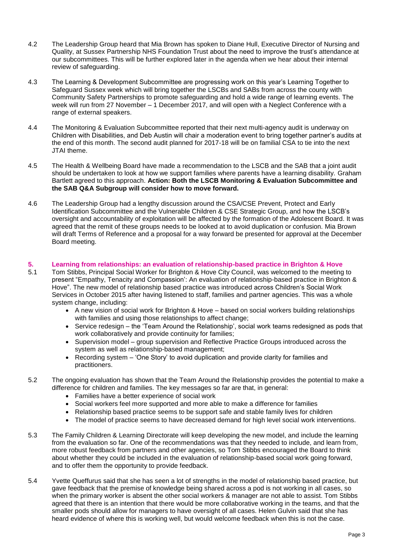- 4.2 The Leadership Group heard that Mia Brown has spoken to Diane Hull, Executive Director of Nursing and Quality, at Sussex Partnership NHS Foundation Trust about the need to improve the trust's attendance at our subcommittees. This will be further explored later in the agenda when we hear about their internal review of safeguarding.
- 4.3 The Learning & Development Subcommittee are progressing work on this year's Learning Together to Safeguard Sussex week which will bring together the LSCBs and SABs from across the county with Community Safety Partnerships to promote safeguarding and hold a wide range of learning events. The week will run from 27 November – 1 December 2017, and will open with a Neglect Conference with a range of external speakers.
- 4.4 The Monitoring & Evaluation Subcommittee reported that their next multi-agency audit is underway on Children with Disabilities, and Deb Austin will chair a moderation event to bring together partner's audits at the end of this month. The second audit planned for 2017-18 will be on familial CSA to tie into the next JTAI theme.
- 4.5 The Health & Wellbeing Board have made a recommendation to the LSCB and the SAB that a joint audit should be undertaken to look at how we support families where parents have a learning disability. Graham Bartlett agreed to this approach. **Action: Both the LSCB Monitoring & Evaluation Subcommittee and the SAB Q&A Subgroup will consider how to move forward.**
- 4.6 The Leadership Group had a lengthy discussion around the CSA/CSE Prevent, Protect and Early Identification Subcommittee and the Vulnerable Children & CSE Strategic Group, and how the LSCB's oversight and accountability of exploitation will be affected by the formation of the Adolescent Board. It was agreed that the remit of these groups needs to be looked at to avoid duplication or confusion. Mia Brown will draft Terms of Reference and a proposal for a way forward be presented for approval at the December Board meeting.

# **5. Learning from relationships: an evaluation of relationship-based practice in Brighton & Hove**

- 5.1 Tom Stibbs, Principal Social Worker for Brighton & Hove City Council, was welcomed to the meeting to present "Empathy, Tenacity and Compassion': An evaluation of relationship-based practice in Brighton & Hove". The new model of relationship based practice was introduced across Children's Social Work Services in October 2015 after having listened to staff, families and partner agencies. This was a whole system change, including:
	- A new vision of social work for Brighton & Hove based on social workers building relationships with families and using those relationships to affect change;
	- Service redesign the 'Team Around the Relationship', social work teams redesigned as pods that work collaboratively and provide continuity for families;
	- Supervision model group supervision and Reflective Practice Groups introduced across the system as well as relationship-based management;
	- Recording system 'One Story' to avoid duplication and provide clarity for families and practitioners.
- 5.2 The ongoing evaluation has shown that the Team Around the Relationship provides the potential to make a difference for children and families. The key messages so far are that, in general:
	- Families have a better experience of social work
	- Social workers feel more supported and more able to make a difference for families
	- Relationship based practice seems to be support safe and stable family lives for children
	- The model of practice seems to have decreased demand for high level social work interventions.
- 5.3 The Family Children & Learning Directorate will keep developing the new model, and include the learning from the evaluation so far. One of the recommendations was that they needed to include, and learn from, more robust feedback from partners and other agencies, so Tom Stibbs encouraged the Board to think about whether they could be included in the evaluation of relationship-based social work going forward, and to offer them the opportunity to provide feedback.
- 5.4 Yvette Queffurus said that she has seen a lot of strengths in the model of relationship based practice, but gave feedback that the premise of knowledge being shared across a pod is not working in all cases, so when the primary worker is absent the other social workers & manager are not able to assist. Tom Stibbs agreed that there is an intention that there would be more collaborative working in the teams, and that the smaller pods should allow for managers to have oversight of all cases. Helen Gulvin said that she has heard evidence of where this is working well, but would welcome feedback when this is not the case.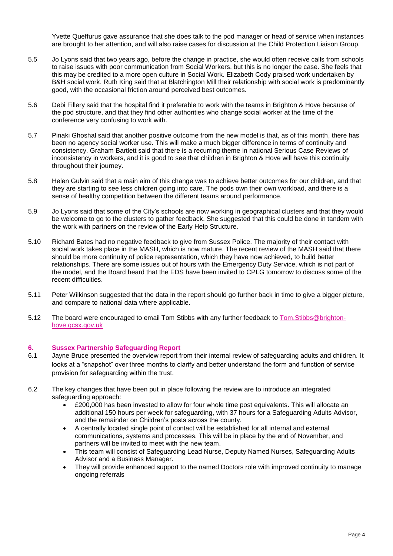Yvette Queffurus gave assurance that she does talk to the pod manager or head of service when instances are brought to her attention, and will also raise cases for discussion at the Child Protection Liaison Group.

- 5.5 Jo Lyons said that two years ago, before the change in practice, she would often receive calls from schools to raise issues with poor communication from Social Workers, but this is no longer the case. She feels that this may be credited to a more open culture in Social Work. Elizabeth Cody praised work undertaken by B&H social work. Ruth King said that at Blatchington Mill their relationship with social work is predominantly good, with the occasional friction around perceived best outcomes.
- 5.6 Debi Fillery said that the hospital find it preferable to work with the teams in Brighton & Hove because of the pod structure, and that they find other authorities who change social worker at the time of the conference very confusing to work with.
- 5.7 Pinaki Ghoshal said that another positive outcome from the new model is that, as of this month, there has been no agency social worker use. This will make a much bigger difference in terms of continuity and consistency. Graham Bartlett said that there is a recurring theme in national Serious Case Reviews of inconsistency in workers, and it is good to see that children in Brighton & Hove will have this continuity throughout their journey.
- 5.8 Helen Gulvin said that a main aim of this change was to achieve better outcomes for our children, and that they are starting to see less children going into care. The pods own their own workload, and there is a sense of healthy competition between the different teams around performance.
- 5.9 Jo Lyons said that some of the City's schools are now working in geographical clusters and that they would be welcome to go to the clusters to gather feedback. She suggested that this could be done in tandem with the work with partners on the review of the Early Help Structure.
- 5.10 Richard Bates had no negative feedback to give from Sussex Police. The majority of their contact with social work takes place in the MASH, which is now mature. The recent review of the MASH said that there should be more continuity of police representation, which they have now achieved, to build better relationships. There are some issues out of hours with the Emergency Duty Service, which is not part of the model, and the Board heard that the EDS have been invited to CPLG tomorrow to discuss some of the recent difficulties.
- 5.11 Peter Wilkinson suggested that the data in the report should go further back in time to give a bigger picture, and compare to national data where applicable.
- 5.12 The board were encouraged to email Tom Stibbs with any further feedback t[o Tom.Stibbs@brighton](mailto:Tom.Stibbs@brighton-hove.gcsx.gov.uk)[hove.gcsx.gov.uk](mailto:Tom.Stibbs@brighton-hove.gcsx.gov.uk)

## **6. Sussex Partnership Safeguarding Report**

- 6.1 Jayne Bruce presented the overview report from their internal review of safeguarding adults and children. It looks at a "snapshot" over three months to clarify and better understand the form and function of service provision for safeguarding within the trust.
- 6.2 The key changes that have been put in place following the review are to introduce an integrated safeguarding approach:
	- £200,000 has been invested to allow for four whole time post equivalents. This will allocate an additional 150 hours per week for safeguarding, with 37 hours for a Safeguarding Adults Advisor, and the remainder on Children's posts across the county.
	- A centrally located single point of contact will be established for all internal and external communications, systems and processes. This will be in place by the end of November, and partners will be invited to meet with the new team.
	- This team will consist of Safeguarding Lead Nurse, Deputy Named Nurses, Safeguarding Adults Advisor and a Business Manager.
	- They will provide enhanced support to the named Doctors role with improved continuity to manage ongoing referrals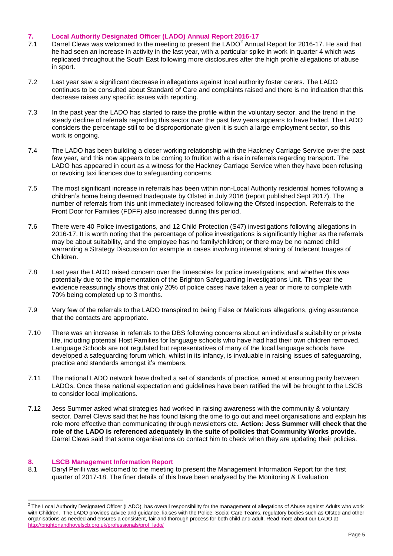# **7. Local Authority Designated Officer (LADO) Annual Report 2016-17**

- 7.1 Darrel Clews was welcomed to the meeting to present the LADO $^2$  Annual Report for 2016-17. He said that he had seen an increase in activity in the last year, with a particular spike in work in quarter 4 which was replicated throughout the South East following more disclosures after the high profile allegations of abuse in sport.
- 7.2 Last year saw a significant decrease in allegations against local authority foster carers. The LADO continues to be consulted about Standard of Care and complaints raised and there is no indication that this decrease raises any specific issues with reporting.
- 7.3 In the past year the LADO has started to raise the profile within the voluntary sector, and the trend in the steady decline of referrals regarding this sector over the past few years appears to have halted. The LADO considers the percentage still to be disproportionate given it is such a large employment sector, so this work is ongoing.
- 7.4 The LADO has been building a closer working relationship with the Hackney Carriage Service over the past few year, and this now appears to be coming to fruition with a rise in referrals regarding transport. The LADO has appeared in court as a witness for the Hackney Carriage Service when they have been refusing or revoking taxi licences due to safeguarding concerns.
- 7.5 The most significant increase in referrals has been within non-Local Authority residential homes following a children's home being deemed Inadequate by Ofsted in July 2016 (report published Sept 2017). The number of referrals from this unit immediately increased following the Ofsted inspection. Referrals to the Front Door for Families (FDFF) also increased during this period.
- 7.6 There were 40 Police investigations, and 12 Child Protection (S47) investigations following allegations in 2016-17. It is worth noting that the percentage of police investigations is significantly higher as the referrals may be about suitability, and the employee has no family/children; or there may be no named child warranting a Strategy Discussion for example in cases involving internet sharing of Indecent Images of Children.
- 7.8 Last year the LADO raised concern over the timescales for police investigations, and whether this was potentially due to the implementation of the Brighton Safeguarding Investigations Unit. This year the evidence reassuringly shows that only 20% of police cases have taken a year or more to complete with 70% being completed up to 3 months.
- 7.9 Very few of the referrals to the LADO transpired to being False or Malicious allegations, giving assurance that the contacts are appropriate.
- 7.10 There was an increase in referrals to the DBS following concerns about an individual's suitability or private life, including potential Host Families for language schools who have had had their own children removed. Language Schools are not regulated but representatives of many of the local language schools have developed a safeguarding forum which, whilst in its infancy, is invaluable in raising issues of safeguarding, practice and standards amongst it's members.
- 7.11 The national LADO network have drafted a set of standards of practice, aimed at ensuring parity between LADOs. Once these national expectation and guidelines have been ratified the will be brought to the LSCB to consider local implications.
- 7.12 Jess Summer asked what strategies had worked in raising awareness with the community & voluntary sector. Darrel Clews said that he has found taking the time to go out and meet organisations and explain his role more effective than communicating through newsletters etc. **Action: Jess Summer will check that the role of the LADO is referenced adequately in the suite of policies that Community Works provide.**  Darrel Clews said that some organisations do contact him to check when they are updating their policies.

## **8. LSCB Management Information Report**

8.1 Daryl Perilli was welcomed to the meeting to present the Management Information Report for the first quarter of 2017-18. The finer details of this have been analysed by the Monitoring & Evaluation

 2 The Local Authority Designated Officer (LADO), has overall responsibility for the management of allegations of Abuse against Adults who work with Children. The LADO provides advice and guidance, liaises with the Police, Social Care Teams, regulatory bodies such as Ofsted and other organisations as needed and ensures a consistent, fair and thorough process for both child and adult. Read more about our LADO at [http://brightonandhovelscb.org.uk/professionals/prof\\_lado/](http://brightonandhovelscb.org.uk/professionals/prof_lado/)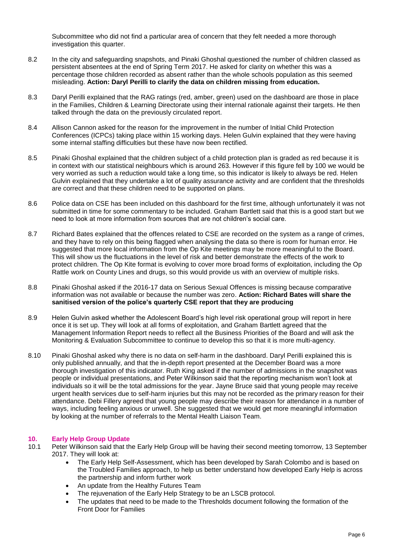Subcommittee who did not find a particular area of concern that they felt needed a more thorough investigation this quarter.

- 8.2 In the city and safeguarding snapshots, and Pinaki Ghoshal questioned the number of children classed as persistent absentees at the end of Spring Term 2017. He asked for clarity on whether this was a percentage those children recorded as absent rather than the whole schools population as this seemed misleading. **Action: Daryl Perilli to clarify the data on children missing from education.**
- 8.3 Daryl Perilli explained that the RAG ratings (red, amber, green) used on the dashboard are those in place in the Families, Children & Learning Directorate using their internal rationale against their targets. He then talked through the data on the previously circulated report.
- 8.4 Allison Cannon asked for the reason for the improvement in the number of Initial Child Protection Conferences (ICPCs) taking place within 15 working days. Helen Gulvin explained that they were having some internal staffing difficulties but these have now been rectified.
- 8.5 Pinaki Ghoshal explained that the children subject of a child protection plan is graded as red because it is in context with our statistical neighbours which is around 263. However if this figure fell by 100 we would be very worried as such a reduction would take a long time, so this indicator is likely to always be red. Helen Gulvin explained that they undertake a lot of quality assurance activity and are confident that the thresholds are correct and that these children need to be supported on plans.
- 8.6 Police data on CSE has been included on this dashboard for the first time, although unfortunately it was not submitted in time for some commentary to be included. Graham Bartlett said that this is a good start but we need to look at more information from sources that are not children's social care.
- 8.7 Richard Bates explained that the offences related to CSE are recorded on the system as a range of crimes, and they have to rely on this being flagged when analysing the data so there is room for human error. He suggested that more local information from the Op Kite meetings may be more meaningful to the Board. This will show us the fluctuations in the level of risk and better demonstrate the effects of the work to protect children. The Op Kite format is evolving to cover more broad forms of exploitation, including the Op Rattle work on County Lines and drugs, so this would provide us with an overview of multiple risks.
- 8.8 Pinaki Ghoshal asked if the 2016-17 data on Serious Sexual Offences is missing because comparative information was not available or because the number was zero. **Action: Richard Bates will share the sanitised version of the police's quarterly CSE report that they are producing**
- 8.9 Helen Gulvin asked whether the Adolescent Board's high level risk operational group will report in here once it is set up. They will look at all forms of exploitation, and Graham Bartlett agreed that the Management Information Report needs to reflect all the Business Priorities of the Board and will ask the Monitoring & Evaluation Subcommittee to continue to develop this so that it is more multi-agency.
- 8.10 Pinaki Ghoshal asked why there is no data on self-harm in the dashboard. Daryl Perilli explained this is only published annually, and that the in-depth report presented at the December Board was a more thorough investigation of this indicator. Ruth King asked if the number of admissions in the snapshot was people or individual presentations, and Peter Wilkinson said that the reporting mechanism won't look at individuals so it will be the total admissions for the year. Jayne Bruce said that young people may receive urgent health services due to self-harm injuries but this may not be recorded as the primary reason for their attendance. Debi Fillery agreed that young people may describe their reason for attendance in a number of ways, including feeling anxious or unwell. She suggested that we would get more meaningful information by looking at the number of referrals to the Mental Health Liaison Team.

## **10. Early Help Group Update**

- 10.1 Peter Wilkinson said that the Early Help Group will be having their second meeting tomorrow, 13 September 2017. They will look at:
	- The Early Help Self-Assessment, which has been developed by Sarah Colombo and is based on the Troubled Families approach, to help us better understand how developed Early Help is across the partnership and inform further work
	- An update from the Healthy Futures Team
	- The rejuvenation of the Early Help Strategy to be an LSCB protocol.
	- The updates that need to be made to the Thresholds document following the formation of the Front Door for Families